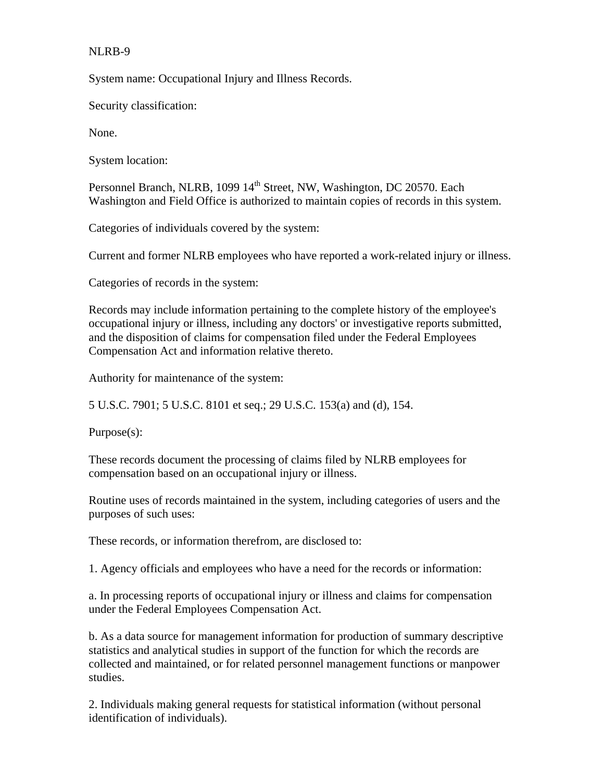## NLRB-9

System name: Occupational Injury and Illness Records.

Security classification:

None.

System location:

Personnel Branch, NLRB, 1099 14<sup>th</sup> Street, NW, Washington, DC 20570. Each Washington and Field Office is authorized to maintain copies of records in this system.

Categories of individuals covered by the system:

Current and former NLRB employees who have reported a work-related injury or illness.

Categories of records in the system:

Records may include information pertaining to the complete history of the employee's occupational injury or illness, including any doctors' or investigative reports submitted, and the disposition of claims for compensation filed under the Federal Employees Compensation Act and information relative thereto.

Authority for maintenance of the system:

5 U.S.C. 7901; 5 U.S.C. 8101 et seq.; 29 U.S.C. 153(a) and (d), 154.

Purpose(s):

These records document the processing of claims filed by NLRB employees for compensation based on an occupational injury or illness.

Routine uses of records maintained in the system, including categories of users and the purposes of such uses:

These records, or information therefrom, are disclosed to:

1. Agency officials and employees who have a need for the records or information:

a. In processing reports of occupational injury or illness and claims for compensation under the Federal Employees Compensation Act.

b. As a data source for management information for production of summary descriptive statistics and analytical studies in support of the function for which the records are collected and maintained, or for related personnel management functions or manpower studies.

2. Individuals making general requests for statistical information (without personal identification of individuals).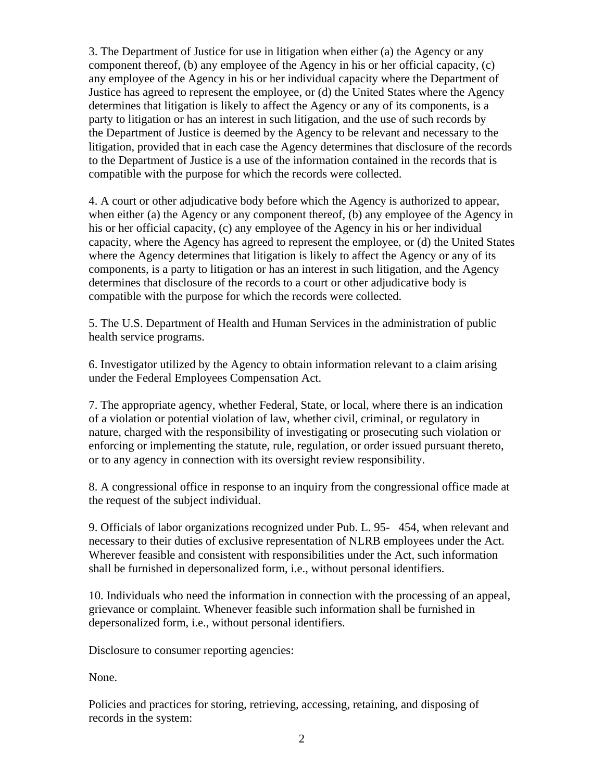3. The Department of Justice for use in litigation when either (a) the Agency or any component thereof, (b) any employee of the Agency in his or her official capacity, (c) any employee of the Agency in his or her individual capacity where the Department of Justice has agreed to represent the employee, or (d) the United States where the Agency determines that litigation is likely to affect the Agency or any of its components, is a party to litigation or has an interest in such litigation, and the use of such records by the Department of Justice is deemed by the Agency to be relevant and necessary to the litigation, provided that in each case the Agency determines that disclosure of the records to the Department of Justice is a use of the information contained in the records that is compatible with the purpose for which the records were collected.

4. A court or other adjudicative body before which the Agency is authorized to appear, when either (a) the Agency or any component thereof, (b) any employee of the Agency in his or her official capacity, (c) any employee of the Agency in his or her individual capacity, where the Agency has agreed to represent the employee, or (d) the United States where the Agency determines that litigation is likely to affect the Agency or any of its components, is a party to litigation or has an interest in such litigation, and the Agency determines that disclosure of the records to a court or other adjudicative body is compatible with the purpose for which the records were collected.

5. The U.S. Department of Health and Human Services in the administration of public health service programs.

6. Investigator utilized by the Agency to obtain information relevant to a claim arising under the Federal Employees Compensation Act.

7. The appropriate agency, whether Federal, State, or local, where there is an indication of a violation or potential violation of law, whether civil, criminal, or regulatory in nature, charged with the responsibility of investigating or prosecuting such violation or enforcing or implementing the statute, rule, regulation, or order issued pursuant thereto, or to any agency in connection with its oversight review responsibility.

8. A congressional office in response to an inquiry from the congressional office made at the request of the subject individual.

9. Officials of labor organizations recognized under Pub. L. 95- 454, when relevant and necessary to their duties of exclusive representation of NLRB employees under the Act. Wherever feasible and consistent with responsibilities under the Act, such information shall be furnished in depersonalized form, i.e., without personal identifiers.

10. Individuals who need the information in connection with the processing of an appeal, grievance or complaint. Whenever feasible such information shall be furnished in depersonalized form, i.e., without personal identifiers.

Disclosure to consumer reporting agencies:

None.

Policies and practices for storing, retrieving, accessing, retaining, and disposing of records in the system: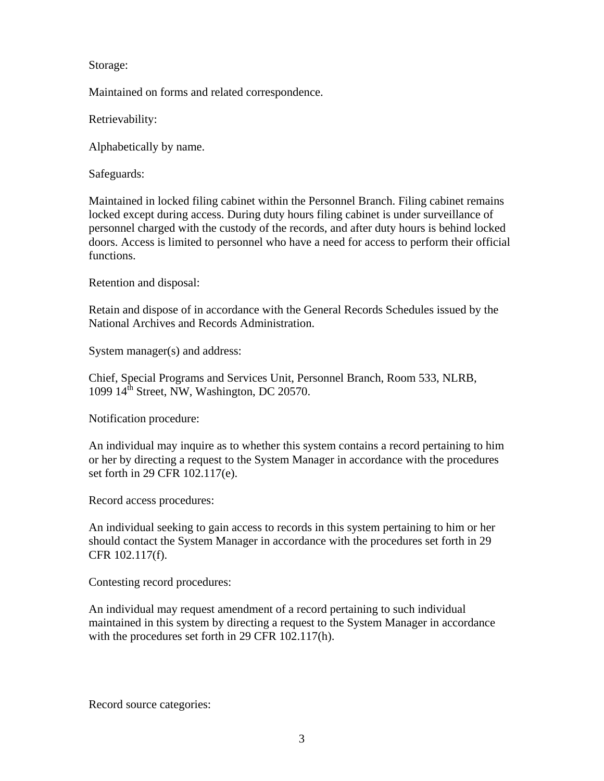Storage:

Maintained on forms and related correspondence.

Retrievability:

Alphabetically by name.

Safeguards:

Maintained in locked filing cabinet within the Personnel Branch. Filing cabinet remains locked except during access. During duty hours filing cabinet is under surveillance of personnel charged with the custody of the records, and after duty hours is behind locked doors. Access is limited to personnel who have a need for access to perform their official functions.

Retention and disposal:

Retain and dispose of in accordance with the General Records Schedules issued by the National Archives and Records Administration.

System manager(s) and address:

Chief, Special Programs and Services Unit, Personnel Branch, Room 533, NLRB, 1099  $14^{\text{th}}$  Street, NW, Washington, DC 20570.

Notification procedure:

An individual may inquire as to whether this system contains a record pertaining to him or her by directing a request to the System Manager in accordance with the procedures set forth in 29 CFR 102.117(e).

Record access procedures:

An individual seeking to gain access to records in this system pertaining to him or her should contact the System Manager in accordance with the procedures set forth in 29 CFR 102.117(f).

Contesting record procedures:

An individual may request amendment of a record pertaining to such individual maintained in this system by directing a request to the System Manager in accordance with the procedures set forth in 29 CFR 102.117(h).

Record source categories: